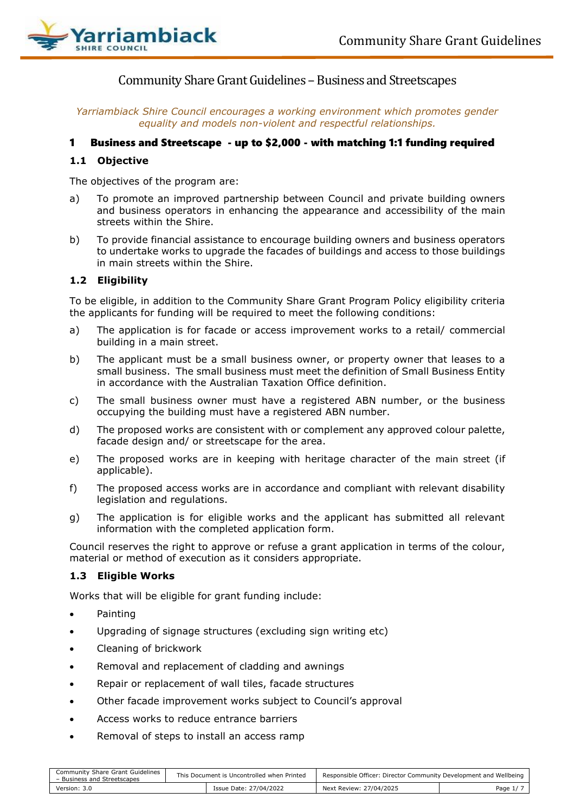

Community Share Grant Guidelines - Business and Streetscapes

*Yarriambiack Shire Council encourages a working environment which promotes gender equality and models non-violent and respectful relationships.*

# 1 Business and Streetscape - up to \$2,000 - with matching 1:1 funding required

# **1.1 Objective**

The objectives of the program are:

- a) To promote an improved partnership between Council and private building owners and business operators in enhancing the appearance and accessibility of the main streets within the Shire.
- b) To provide financial assistance to encourage building owners and business operators to undertake works to upgrade the facades of buildings and access to those buildings in main streets within the Shire.

## **1.2 Eligibility**

To be eligible, in addition to the Community Share Grant Program Policy eligibility criteria the applicants for funding will be required to meet the following conditions:

- a) The application is for facade or access improvement works to a retail/ commercial building in a main street.
- b) The applicant must be a small business owner, or property owner that leases to a small business. The small business must meet the definition of Small Business Entity in accordance with the Australian Taxation Office definition.
- c) The small business owner must have a registered ABN number, or the business occupying the building must have a registered ABN number.
- d) The proposed works are consistent with or complement any approved colour palette, facade design and/ or streetscape for the area.
- e) The proposed works are in keeping with heritage character of the main street (if applicable).
- f) The proposed access works are in accordance and compliant with relevant disability legislation and regulations.
- g) The application is for eligible works and the applicant has submitted all relevant information with the completed application form.

Council reserves the right to approve or refuse a grant application in terms of the colour, material or method of execution as it considers appropriate.

#### **1.3 Eligible Works**

Works that will be eligible for grant funding include:

- Painting
- Upgrading of signage structures (excluding sign writing etc)
- Cleaning of brickwork
- Removal and replacement of cladding and awnings
- Repair or replacement of wall tiles, facade structures
- Other facade improvement works subject to Council's approval
- Access works to reduce entrance barriers
- Removal of steps to install an access ramp

| Community Share Grant Guidelines<br>- Business and Streetscapes | This Document is Uncontrolled when Printed |                        | Responsible Officer: Director Community Development and Wellbeing |          |  |
|-----------------------------------------------------------------|--------------------------------------------|------------------------|-------------------------------------------------------------------|----------|--|
| Version: 3.0                                                    |                                            | Issue Date: 27/04/2022 | Next Review: 27/04/2025                                           | Page 1/7 |  |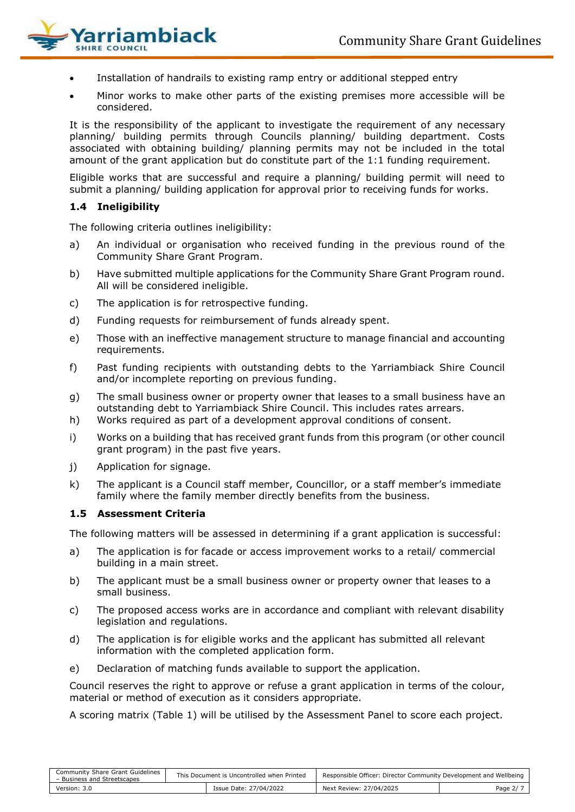

- Installation of handrails to existing ramp entry or additional stepped entry
- Minor works to make other parts of the existing premises more accessible will be considered.

It is the responsibility of the applicant to investigate the requirement of any necessary planning/ building permits through Councils planning/ building department. Costs associated with obtaining building/ planning permits may not be included in the total amount of the grant application but do constitute part of the 1:1 funding requirement.

Eligible works that are successful and require a planning/ building permit will need to submit a planning/ building application for approval prior to receiving funds for works.

## **1.4 Ineligibility**

The following criteria outlines ineligibility:

- a) An individual or organisation who received funding in the previous round of the Community Share Grant Program.
- b) Have submitted multiple applications for the Community Share Grant Program round. All will be considered ineligible.
- c) The application is for retrospective funding.
- d) Funding requests for reimbursement of funds already spent.
- e) Those with an ineffective management structure to manage financial and accounting requirements.
- f) Past funding recipients with outstanding debts to the Yarriambiack Shire Council and/or incomplete reporting on previous funding.
- g) The small business owner or property owner that leases to a small business have an outstanding debt to Yarriambiack Shire Council. This includes rates arrears.
- h) Works required as part of a development approval conditions of consent.
- i) Works on a building that has received grant funds from this program (or other council grant program) in the past five years.
- j) Application for signage.
- k) The applicant is a Council staff member, Councillor, or a staff member's immediate family where the family member directly benefits from the business.

#### **1.5 Assessment Criteria**

The following matters will be assessed in determining if a grant application is successful:

- a) The application is for facade or access improvement works to a retail/ commercial building in a main street.
- b) The applicant must be a small business owner or property owner that leases to a small business.
- c) The proposed access works are in accordance and compliant with relevant disability legislation and regulations.
- d) The application is for eligible works and the applicant has submitted all relevant information with the completed application form.
- e) Declaration of matching funds available to support the application.

Council reserves the right to approve or refuse a grant application in terms of the colour, material or method of execution as it considers appropriate.

A scoring matrix (Table 1) will be utilised by the Assessment Panel to score each project.

| Community Share Grant Guidelines<br>- Business and Streetscapes | This Document is Uncontrolled when Printed |                        | Responsible Officer: Director Community Development and Wellbeing |          |
|-----------------------------------------------------------------|--------------------------------------------|------------------------|-------------------------------------------------------------------|----------|
| Version: 3.0                                                    |                                            | Issue Date: 27/04/2022 | Next Review: 27/04/2025                                           | Page 2/7 |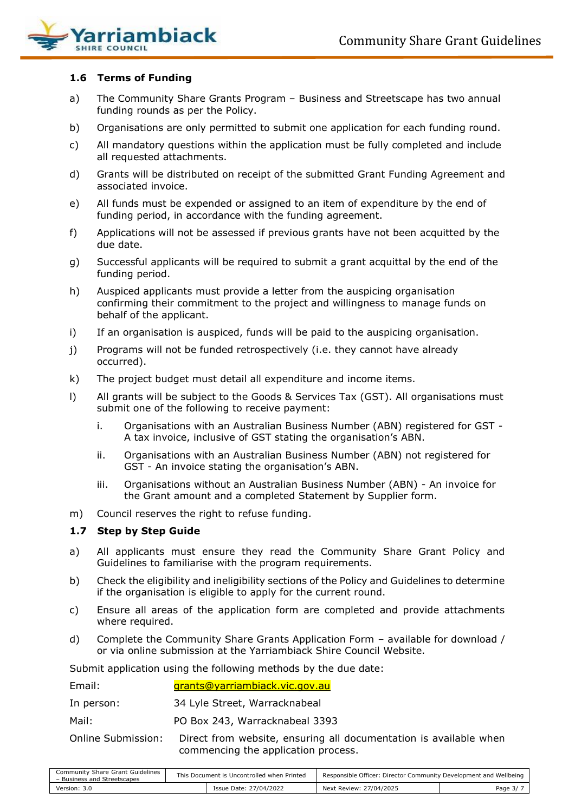

# **1.6 Terms of Funding**

- a) The Community Share Grants Program Business and Streetscape has two annual funding rounds as per the Policy.
- b) Organisations are only permitted to submit one application for each funding round.
- c) All mandatory questions within the application must be fully completed and include all requested attachments.
- d) Grants will be distributed on receipt of the submitted Grant Funding Agreement and associated invoice.
- e) All funds must be expended or assigned to an item of expenditure by the end of funding period, in accordance with the funding agreement.
- f) Applications will not be assessed if previous grants have not been acquitted by the due date.
- g) Successful applicants will be required to submit a grant acquittal by the end of the funding period.
- h) Auspiced applicants must provide a letter from the auspicing organisation confirming their commitment to the project and willingness to manage funds on behalf of the applicant.
- i) If an organisation is auspiced, funds will be paid to the auspicing organisation.
- j) Programs will not be funded retrospectively (i.e. they cannot have already occurred).
- k) The project budget must detail all expenditure and income items.
- l) All grants will be subject to the Goods & Services Tax (GST). All organisations must submit one of the following to receive payment:
	- i. Organisations with an Australian Business Number (ABN) registered for GST A tax invoice, inclusive of GST stating the organisation's ABN.
	- ii. Organisations with an Australian Business Number (ABN) not registered for GST - An invoice stating the organisation's ABN.
	- iii. Organisations without an Australian Business Number (ABN) An invoice for the Grant amount and a completed Statement by Supplier form.
- m) Council reserves the right to refuse funding.

#### **1.7 Step by Step Guide**

- a) All applicants must ensure they read the Community Share Grant Policy and Guidelines to familiarise with the program requirements.
- b) Check the eligibility and ineligibility sections of the Policy and Guidelines to determine if the organisation is eligible to apply for the current round.
- c) Ensure all areas of the application form are completed and provide attachments where required.
- d) Complete the Community Share Grants Application Form available for download / or via online submission at the Yarriambiack Shire Council Website.

Submit application using the following methods by the due date:

| Email:             | grants@yarriambiack.vic.gov.au                                                                           |
|--------------------|----------------------------------------------------------------------------------------------------------|
| In person:         | 34 Lyle Street, Warracknabeal                                                                            |
| Mail:              | PO Box 243, Warracknabeal 3393                                                                           |
| Online Submission: | Direct from website, ensuring all documentation is available when<br>commencing the application process. |

| Community Share Grant Guidelines<br>- Business and Streetscapes | This Document is Uncontrolled when Printed |                        | Responsible Officer: Director Community Development and Wellbeing |          |  |
|-----------------------------------------------------------------|--------------------------------------------|------------------------|-------------------------------------------------------------------|----------|--|
| Version: 3.0                                                    |                                            | Issue Date: 27/04/2022 | Next Review: 27/04/2025                                           | Page 3/7 |  |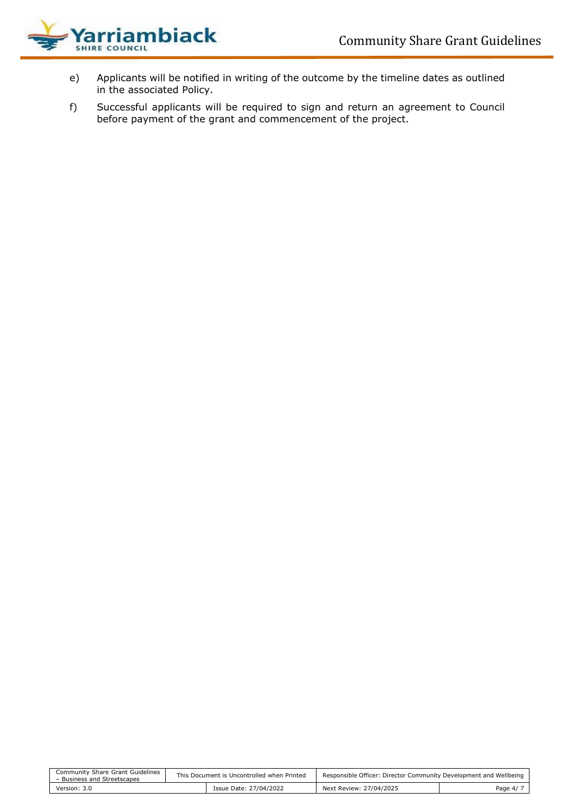

- e) Applicants will be notified in writing of the outcome by the timeline dates as outlined in the associated Policy.
- f) Successful applicants will be required to sign and return an agreement to Council before payment of the grant and commencement of the project.

| Community Share Grant Guidelines<br>- Business and Streetscapes | This Document is Uncontrolled when Printed |                        | Responsible Officer: Director Community Development and Wellbeing |          |  |
|-----------------------------------------------------------------|--------------------------------------------|------------------------|-------------------------------------------------------------------|----------|--|
| Version: 3.0                                                    |                                            | Issue Date: 27/04/2022 | Next Review: 27/04/2025                                           | Page 4/7 |  |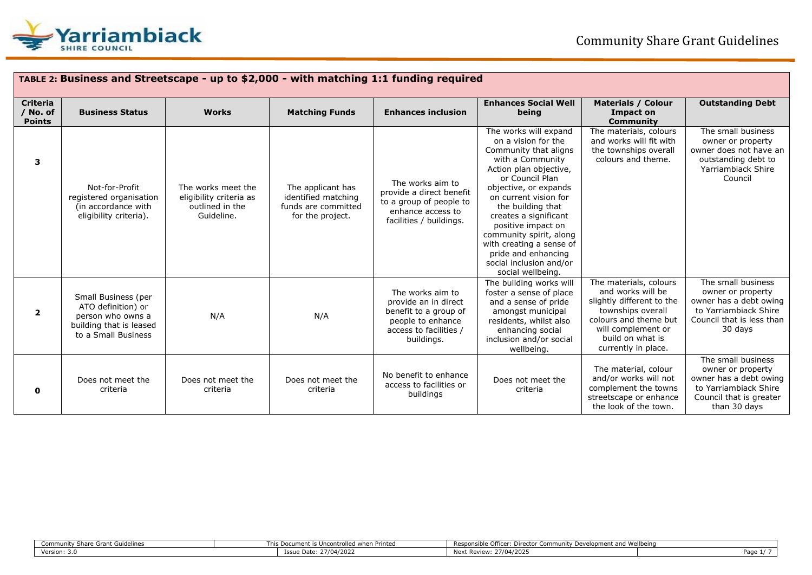

| TABLE 2: Business and Streetscape - up to \$2,000 - with matching 1:1 funding required |                                                                                                                  |                                                                                |                                                                                     |                                                                                                                                |                                                                                                                                                                                                                                                                                                                                                                                            |                                                                                                                                                                                         |                                                                                                                                       |
|----------------------------------------------------------------------------------------|------------------------------------------------------------------------------------------------------------------|--------------------------------------------------------------------------------|-------------------------------------------------------------------------------------|--------------------------------------------------------------------------------------------------------------------------------|--------------------------------------------------------------------------------------------------------------------------------------------------------------------------------------------------------------------------------------------------------------------------------------------------------------------------------------------------------------------------------------------|-----------------------------------------------------------------------------------------------------------------------------------------------------------------------------------------|---------------------------------------------------------------------------------------------------------------------------------------|
| <b>Criteria</b><br>/ No. of<br><b>Points</b>                                           | <b>Business Status</b>                                                                                           | <b>Works</b>                                                                   | <b>Matching Funds</b>                                                               | <b>Enhances inclusion</b>                                                                                                      | <b>Enhances Social Well</b><br>being                                                                                                                                                                                                                                                                                                                                                       | <b>Materials / Colour</b><br>Impact on<br><b>Community</b>                                                                                                                              | <b>Outstanding Debt</b>                                                                                                               |
| 3                                                                                      | Not-for-Profit<br>registered organisation<br>(in accordance with<br>eligibility criteria).                       | The works meet the<br>eligibility criteria as<br>outlined in the<br>Guideline. | The applicant has<br>identified matching<br>funds are committed<br>for the project. | The works aim to<br>provide a direct benefit<br>to a group of people to<br>enhance access to<br>facilities / buildings.        | The works will expand<br>on a vision for the<br>Community that aligns<br>with a Community<br>Action plan objective,<br>or Council Plan<br>objective, or expands<br>on current vision for<br>the building that<br>creates a significant<br>positive impact on<br>community spirit, along<br>with creating a sense of<br>pride and enhancing<br>social inclusion and/or<br>social wellbeing. | The materials, colours<br>and works will fit with<br>the townships overall<br>colours and theme.                                                                                        | The small business<br>owner or property<br>owner does not have an<br>outstanding debt to<br>Yarriambiack Shire<br>Council             |
| $\overline{\mathbf{2}}$                                                                | Small Business (per<br>ATO definition) or<br>person who owns a<br>building that is leased<br>to a Small Business | N/A                                                                            | N/A                                                                                 | The works aim to<br>provide an in direct<br>benefit to a group of<br>people to enhance<br>access to facilities /<br>buildings. | The building works will<br>foster a sense of place<br>and a sense of pride<br>amongst municipal<br>residents, whilst also<br>enhancing social<br>inclusion and/or social<br>wellbeing.                                                                                                                                                                                                     | The materials, colours<br>and works will be<br>slightly different to the<br>townships overall<br>colours and theme but<br>will complement or<br>build on what is<br>currently in place. | The small business<br>owner or property<br>owner has a debt owing<br>to Yarriambiack Shire<br>Council that is less than<br>30 days    |
| 0                                                                                      | Does not meet the<br>criteria                                                                                    | Does not meet the<br>criteria                                                  | Does not meet the<br>criteria                                                       | No benefit to enhance<br>access to facilities or<br>buildings                                                                  | Does not meet the<br>criteria                                                                                                                                                                                                                                                                                                                                                              | The material, colour<br>and/or works will not<br>complement the towns<br>streetscape or enhance<br>the look of the town.                                                                | The small business<br>owner or property<br>owner has a debt owing<br>to Yarriambiack Shire<br>Council that is greater<br>than 30 days |

| : Grant Guidelines<br>Community<br>энан | This Document<br>ed when Printed<br>. Uncontroller | onsible Officer:<br>: Director Community  <br><b>Door</b><br>velonment ar | nd Wellbeino |
|-----------------------------------------|----------------------------------------------------|---------------------------------------------------------------------------|--------------|
| ۔ . Version: ے                          | 27/04/2021<br>--<br>ີ                              | 27/04/2025<br>Next Review <sup>.</sup>                                    | Page         |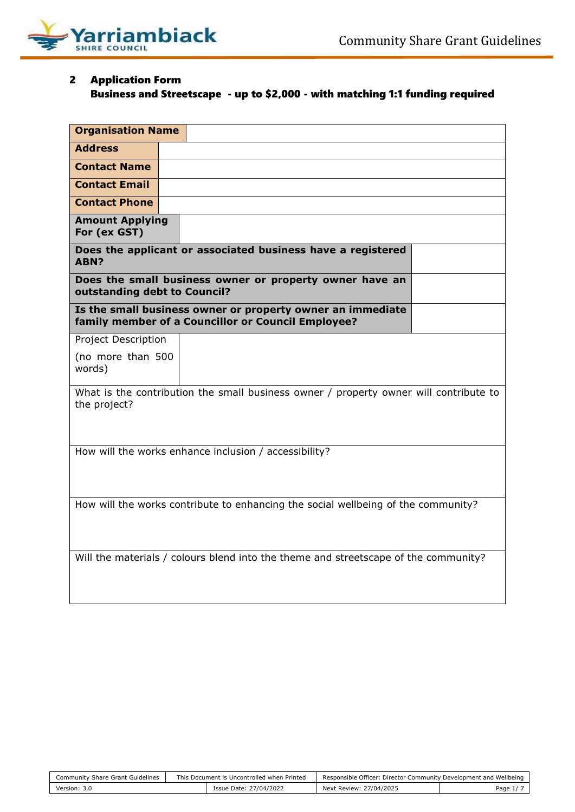

# 2 Application Form

# Business and Streetscape - up to \$2,000 - with matching 1:1 funding required

| <b>Organisation Name</b>               |                                                                                                                  |  |
|----------------------------------------|------------------------------------------------------------------------------------------------------------------|--|
| <b>Address</b>                         |                                                                                                                  |  |
| <b>Contact Name</b>                    |                                                                                                                  |  |
| <b>Contact Email</b>                   |                                                                                                                  |  |
| <b>Contact Phone</b>                   |                                                                                                                  |  |
| <b>Amount Applying</b><br>For (ex GST) |                                                                                                                  |  |
| ABN?                                   | Does the applicant or associated business have a registered                                                      |  |
| outstanding debt to Council?           | Does the small business owner or property owner have an                                                          |  |
|                                        | Is the small business owner or property owner an immediate<br>family member of a Councillor or Council Employee? |  |
| Project Description                    |                                                                                                                  |  |
| (no more than 500<br>words)            |                                                                                                                  |  |
| the project?                           | What is the contribution the small business owner / property owner will contribute to                            |  |
|                                        | How will the works enhance inclusion / accessibility?                                                            |  |
|                                        | How will the works contribute to enhancing the social wellbeing of the community?                                |  |
|                                        | Will the materials / colours blend into the theme and streetscape of the community?                              |  |

| Community Share Grant Guidelines | This Document is Uncontrolled when Printed |                        | Responsible Officer: Director Community Development and Wellbeing |           |
|----------------------------------|--------------------------------------------|------------------------|-------------------------------------------------------------------|-----------|
| Version: 3.0                     |                                            | Issue Date: 27/04/2022 | Next Review: 27/04/2025                                           | Page $1/$ |